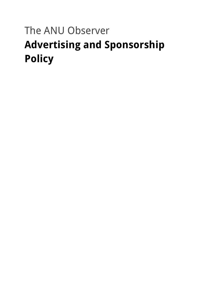# The ANU Observer **Advertising and Sponsorship Policy**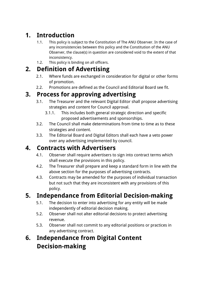## **1. Introduction**

- 1.1. This policy is subject to the Constitution of The ANU Observer. In the case of any inconsistencies between this policy and the Constitution of the ANU Observer, the clause(s) in question are considered void to the extent of that inconsistency.
- 1.2. This policy is binding on all officers.

#### **2. Definition of Advertising**

- 2.1. Where funds are exchanged in consideration for digital or other forms of promotion.
- 2.2. Promotions are defined as the Council and Editorial Board see fit.

#### **3. Process for approving advertising**

- 3.1. The Treasurer and the relevant Digital Editor shall propose advertising strategies and content for Council approval.
	- 3.1.1. This includes both general strategic direction and specific proposed advertisements and sponsorships.
- 3.2. The Council shall make determinations from time to time as to these strategies and content.
- 3.3. The Editorial Board and Digital Editors shall each have a veto power over any advertising implemented by council.

### **4. Contracts with Advertisers**

- 4.1. Observer shall require advertisers to sign into contract terms which shall execute the provisions in this policy.
- 4.2. The Treasurer shall prepare and keep a standard form in line with the above section for the purposes of advertising contracts.
- 4.3. Contracts may be amended for the purposes of individual transaction but not such that they are inconsistent with any provisions of this policy.

## **5. Independance from Editorial Decision-making**

- 5.1. The decision to enter into advertising for any entity will be made independently of editorial decision making.
- 5.2. Observer shall not alter editorial decisions to protect advertising revenue.
- 5.3. Observer shall not commit to any editorial positions or practices in any advertising contract.

## **6. Independance from Digital Content Decision-making**